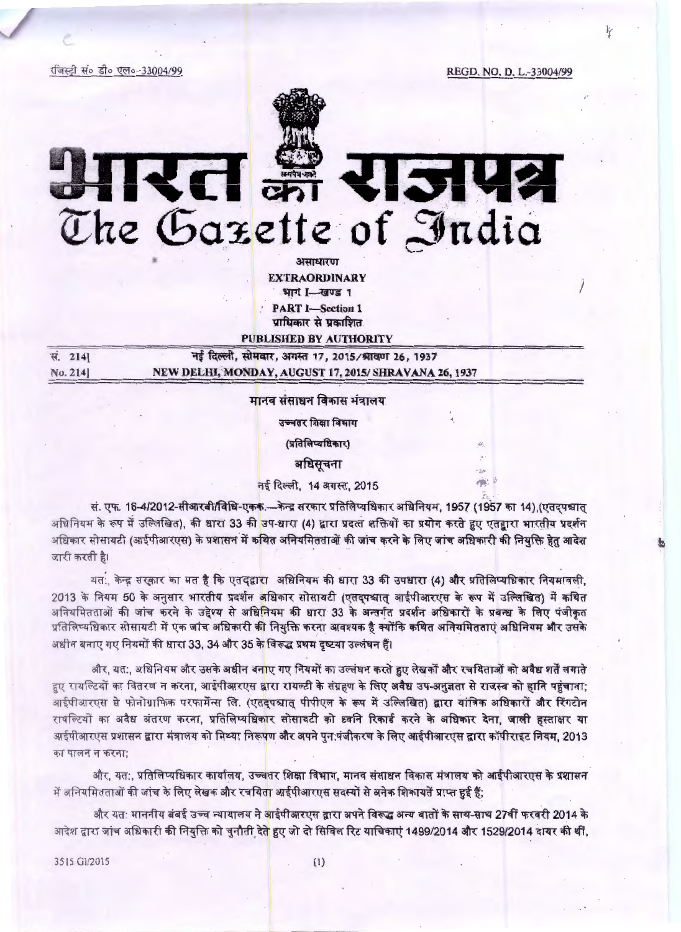रजिस्ट्री सं० डी० एल०-33004/99

' -

REGD. NO. D. L.-33004/99

)



अमाधारण EXTRAORDINARY भाग I-खण्ड 1 PART I-Section 1 प्राधिकार से प्रकाशित.

PUBLISHED BY AUTHORITY

| स. 2141 | नई दिल्ली, सोमवार, अगस्त 17, 2015/श्रावण 26, 1937     |
|---------|-------------------------------------------------------|
| No. 214 | NEW DELHI, MONDAY, AUGUST 17, 2015/ SHRAVANA 26, 1937 |

मानव संसाधन विकास मंत्रालय

उच्चतर शिक्षा विभाग

(प्रतिलिप्यधिकार)

अधिसूचना

नई दिल्ली, 14 अगस्त, 2015

सं. एफ. 16-4/2012-सीआरबी/विधि-एकक.--केन्द्र सरकार प्रतिलिप्यधिकार अधिनियम, 1957 (1957 का 14) (एतदपश्चात् अधिनियम के रूप में उल्लिखित). की धारा 33 की उप-धारा (4) द्वारा प्रदत्त शक्तियों का प्रयोग करते हुए एतद्वारा भारतीय प्रदर्शन अधिकार सोसायटी (आईपीआरएस) के प्रशासन में कथित अनियमितताओं की जांच करने के लिए जांच अधिकारी की नियक्ति हेतु आदेश जारी करती है।

यतः, केन्द्र सरकार का मत है कि एतद्वारा अधिनियम की धारा 33 की उपधारा (4) और प्रतिलिप्यधिकार नियमावली, यत:, केन्द्र सरकार का मत है कि एतद्द्वारा अधिनियम की धारा 33 की उपधारा (4) और प्रतिलिप्यधिकार नियमावली,<br>2013 के नियम 50 के अनुसार भारतीय प्रदर्शन अधिकार सोसायटी (एतद्पश्चात् आईपीआरएस के रूप में उल्लिखित) में कथित<br>- Resea अनियमितताओं की जांच करने के उद्देश्य से अधिनियम की धारा 33 के अन्तर्गत प्रदर्शन अधिकारों के प्रबन्ध के लिए पंजीकृत<br>प्रतिलिप्यधिकार सोसायटी में एक जांच अधिकारी की नियुक्ति करना आवश्यक है क्योंकि कथित अनियमितताएं अधिनियम और अधीन बनाए गए नियमों की धारा 33, 34 और 35 के विरूद्ध प्रथम दृष्टया उल्लंघन हैं।

और, यत:, अधिनियम और उसके अधीन बनाए गए नियमों का उल्लंघन करते हुए लेखकों और रचयिताओं को अवैध शर्तें लगाते आर, यत:, आधानयम आर उसक अधान बनाए गए ानयमा का उल्लघन करत हुए लखका आर रचायताआ का अवध शत लगात<br>हुए रायल्टियों का वितरण न करना, आईपीआरएस द्वारा रायल्टी के संग्रहण के <mark>लिए अवैध उप-अनुज्ञता से राजस्व को हानि पहुंचाना</mark>;<br>आईपीआरएस आईपीआरएस से फोनोग्राफिक परफार्मेन्स लि. (एत<mark>द</mark>्पश्चात् पीपीएल के रूप में उल्लिखित) द्वारा यांत्रिक अधिकारों और रिंगटोन<br>रायल्टियों का अवैध अंतरण करना, प्रतिलिप्यधिकार सोसायटी को ध्वनि रिकार्ड करने के अधिकार देना, जाली हस्त रायल्टियों का अवैध अंतरण करना, प्रतिलिप्यधिकार सोसायटी को ध्वनि रिकार्ड करने के अधिकार देना, जाली हस्ताक्षर या<br>आईपीआरएस प्रशासन द्वारा मंत्रालय को मिथ्या निरू<mark>पण और अपने पुन:पंजीकरण के लिए आईपीआरएस द्वारा कॉपीराइट नियम, 2</mark> का पालन न करना: एस प्रशासन द्वारा मंत्रालय को मिथ्या निरू<mark>प</mark>ण **और अपने पुन:पंजीकरण के लिए आईपीआरएस द्वारा कॉपीराइट नियम, 2013**<br>न करना;<br>और, यत:, प्रतिलिप्यधिकार कार्यालय, उच्चतर शिक्षा विभाग, मानव संसाधन विकास मंत्रालय को आईपीआरएस के प्रश

और, यत:, प्रतिलिप्यधिकार कार्यालय, उच्च<mark>तर शिक्षा विभाग, मानव संसाधन विकास मंत्रालय को आईपीआरएस के प्रशासन</mark><br>में अनियमितताओं की जांच के लिए लेखक और रचयिता आईपीआरएस सदस्यों से अनेक शिकायतें प्राप्त हुई हैं;

और यत: माननीय बंबई उच्च न्यायालय ने आईपीआरएस द्वारा अपने विरूद्ध अन्य बातों के साथ-साथ 27वीं फरवरी 2014 के आदेश द्वारा जांच अधिकारी की नियुक्ति को चुनौती देते हुए जो दो सिविल रिट याचिकाएं 1499/2014 और 1529/2014 दायर की थीं,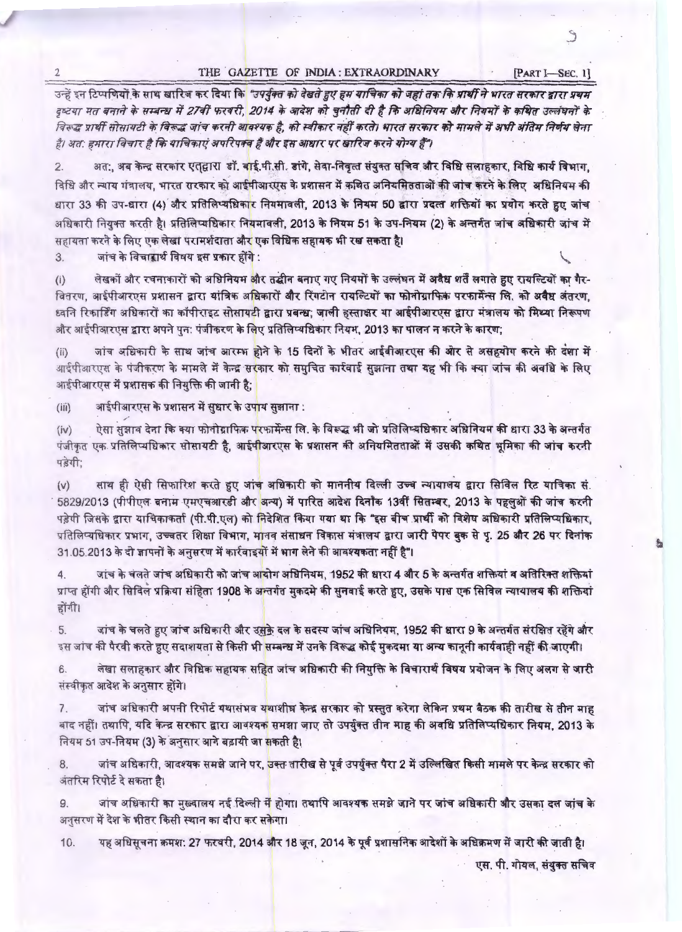# 2 THE GAZETTE OF INDIA : EXTRAORDINARY [PART I-SEC. 1]

S

~ ~ flcq fU141 <sup>~</sup>*@.T* ~ ~ ITT1 fcf. ~ ifi1" mp[ *Ql1* ~ ifi1" ~ *f17fi·fit "!TTeff* #" »rmr <sup>m</sup>~ J1V1r <sup>~</sup>*TTCT* ~ if> ~ 1f 2/<ff ~ 2014 if> ~T ifi1" ~ cf7" t *fit* ~ *afk' f.ppff-* if> *lfi!W" \3R'f E/rt/"* if> दृष्टया मत बनाने के सम्बन्ध में 27वीं फरवरी, 2014 के आदेश को चुनौती दी है कि अधिनियम और नियमों के कथित उल्लंघनों के<br>विरूद्ध प्रार्थी सोसायटी के विरूद्ध जांच करनी आवश्यक है, को स्वीकार नहीं करते। भारत सरकार को मामले में अभ है। अत: हमारा विचार है कि याचिकाएं अपरिपक्व हैं और इस आधार पर खारिज करने योग्य हैं"।

2. अत:, अब केन्द्र सरकार एत्**द्वारा डॉ. वाई.पी.सी. डांगे, सेवा-निवृत्त** संयुक्त सचिव और विधि सलाहकार, विधि कार्य विभाग, विधि और न्याय गंत्रालय, भारत रारकार को आईपीआरएस के प्रशासन में कथित अनियमितताओं की जांच करने के लिए अधिनियम की 2. अत:, अब केन्द्र सरकार एत्**ट्वारा डॉ. <mark>व</mark>ाई.पी.सी. डांगे, सेवा-निवृत्त संयुक्त सचिव और विधि सला**हकार, विधि कार्य विभाग,<br>विधि और न्याय गंत्रालय, भारत सरकार को आईपीआरएस के प्रशासन में कथित अनियमितताओं की जांच करने विधि और न्याय गंत्रालय, भारत सरकार को आईपीआरएस के प्रशासन में कथित अनियमितताओं की जांच करने के लिए अधिनियम की<br>धारा 33 की उप-धारा (4) और प्रतिलिप्यधिकार नियमावली, 2013 के नियम 50 द्वारा प्रदत्त शक्तियों का प्रयोग करते हुए अधिकारी नियुक्त करती है। प्रतिलिप्यधिकार नि<mark>यमावली, 2013 के नियम 51 के उप-नियम (2) के अन्तर्गत जांच अधिकारी जांच में</mark><br>सहायता करने के लिए एक लेखा परामर्शदाता औ<mark>र</mark> एक विधिक सहायक भी रख सकता है।<br>3. जांच के विचारार्थ

जांच के विचारार्थ विषय इस प्रकार होंगे:

(i) लेखकों और रचनाकारों को अधिनियम और तद्धीन बनाए गए नियमों के उल्लंघन में <mark>अवैध शर्तें लगाते हुए रायल्टियों का गैर-</mark><br>वितरण, आईपीआरएस प्रशासन द्वारा यांत्रिक अधिकारों <mark>और रिंगटोन रायल्टियों का फोनोग्राफिक परफार्मेन</mark> वितरण, आईपीआरएस प्रशासन द्वारा यांत्रिक अधिकारों और रिंगटोन रायल्टियों <mark>का फोनोग्राफिक परफार्मेन्स लि. को अवैध अंतरण,</mark><br>ध्वनि रिकार्डिंग अधिकारों का कॉपीराइट सोसायटी द्वारा प्रबन्ध; जाली हस्ताक्षर या आईपीआरएस द्वारा मंत्रा (i) लेखकों और रचनाकारों को अधिनियम <mark>और तद्धीन बनाए गए नियमों के उल्लंघन में अवैध शर्तें लगाते हू</mark><br>वितरण, आईपीआरएस प्रशासन द्वारा यांत्रिक अ<mark>धिकारों और रिंगटोन रायल्टियों का फोनोग्राफिक परफार्मेन्स किंग</mark><br>ध्वनि रिकार्डि

जांच अधिकारी के साथ जांच आरम्भ होने के 15 दिनों के भीतर आईवीआरएस की ओर से असहयोग करने की दंशा में आईपीआरएस के पंजीकरण के मामले में केन्द्र सरकार को समुचित कार्रवाई सुझाना तथा यह भी कि क्या जांच की अवधि के लिए आईपीआरएस में प्रशासक की नियुक्ति की जानी है;

(iii) अाईपीआरएस के प्रशासन में सुधार के उपाय सुझाना :

...<sub>.</sub><br>(iv) ऐसा सुझाव देना कि क्या फोनोग्राफिक प<mark>रफार्मेन्स लि. के विरूद्ध भी जो प्रतिलिप्यधिकार अधिनियम की धारा 33 के अन्तर्गत</mark> (iv) ऐसा सुझाव देना कि क्या फोनोग्राफिक परफार्मेन्स लि. के विरूद्ध भी जो प्रतिलिप्यधिकार अधिनियम की धारा 33 के अन्तर्गत<br>पंजीकृत एक प्रतिलिप्यधिकार सोसायटी है, आईपीआरएस के प्रशासन की अनियमितताओं में उसकी कथित भूमिका क पड़ेगी;

(v) साथ ही ऐसी सिफारिश करते हुए जांच अधिकारी को माननीय दिल्ली उच्च न्यायालय द्वारा सिविल रिट याचिका सं. (v) साथ हा एसा ासफाारेश करते हुए जाच आधकारी को माननीय दिल्ली उच्च न्यायालय द्वारा सिविल रिट याचिका से.<br> 5829/2013 (पीपीएल बनाम एमएचआरडी और <mark>अन्य) में पारित आदेश दिनौंक 13वीं सितम्बर, 2013 के पहलुओं की जांच करनी</mark> पड़ेगी जिसके द्वारा याचिकाकर्ता (पी.पी.एल) को निदेशित किया गया था कि "इस बीच प्रार्थी को विशेष अधिकारी प्रतिलिप्यधिकार, ़<br>5829/2013 (पीपीएल बनाम एमएचआरडी और <mark>अन्य) में पारित आदेश दिनाँक 13वीं सितम्बर, 2013 के पहलुओं की जांच करनी</mark><br>पड़ेगी जिसके द्वारा याचिकाकर्ता (पी.पी.एल) को निदेशित किया गया था कि "इस बीच प्रार्थी को विशेष अधिकारी प्रतिलिप 2013 (पीपीएल बनाम एमएचआरडी और <mark>अन्य) में पारित आदेश दिनौंक 13वीं सितम्बर, 2013 के पहलुओं की जांच करनी</mark><br>जिसके द्वारा याचिकाकर्ता (पी.पी.एल) को <mark>निदेशित किया गया था कि "इस बीच प्रार्थी को विशेष अधिकारी प्रतिलिप्यधिकार,</mark>  $31.05.2013$  के दो ज्ञापनों के अनुसरण में कार्रवाइयों में भाग लेने की आवश्यकता नहीं है"।

4. जांच के चलते जांच अधिकारी को जांच आयोग अधिनियम, 1952 की धारा 4 और 5 के अन्तर्गत शक्तियां व अतिरिक्त शक्तियां प्राप्त होंगी और सिविल प्रक्रिया संहिता 1908 के अन्तर्गत मुकदमे की सुनवाई करते हुए, उसके पास एक सिविल न्यायालय की शक्तियां<br>होंगी।

5. जांच के चलते हुए जांच अधिकारी और उसके दल के सदस्य जांच अधिनियम, 1952 की धारा 9 के अन्तर्गत संरक्षित रहेंगे और इस जांच की पैरवी करते हुए सदाशयता से किसी भी सम्बन्ध में उनके विरूद्ध कोई मुकदमा या अन्य कानूनी कार्यवाही नहीं की जाएगी।

6. लेखा सलाहकार और विधिक सहायक सहित जांच अधिकारी की नियुक्ति के विचारार्थ विषय प्रयोजन के लिए अलग से जारी संस्वीकृत आदेश के अनुसार होंगे।

7. जांच अधिकारी अपनी रिपोर्ट यथासंभव यथाशीघ्र केन्द्र सरकार को प्रस्तुत करेगा लेकिन प्रथम बैठक की तारीख से तीन माह बाद नहीं। तथापि, यदि केन्द्र सरकार द्वारा आवश्यक समझा जाए तो उपर्युक्त तीन माह की अवधि प्रतिलिप्यधिकार नियम, 2013 के नियम 51 उप-नियम (3) के अनुसार आगे बढ़ायी जा सकती है।

8. जांच अधिकारी, आवश्यक समझे जाने पर, उक्त तारीख से पूर्व उपर्युक्त पैरा 2 में उल्लिखित किसी मामले पर केन्द्र सरकार को अंतरिम रिपोर्ट दे सकता है।

9. जांच अधिकारी का मुख्यालय नई दिल्ली में होगा। तथापि आवश्यक समझे जाने पर जांच अधिकारी और उसका दल जांच के अनुसरण में देश के भीतर किसी स्थान का दौरा कर सकेगा।

10. यह अधिसूचना क्रमश: 27 फरवरी, 2014 और 18 जून, 2014 के पूर्व प्रशासनिक आदेशों के अधिक्रमण में जारी की जाती है। एस. पी. गोयल, संयुक्त सचिव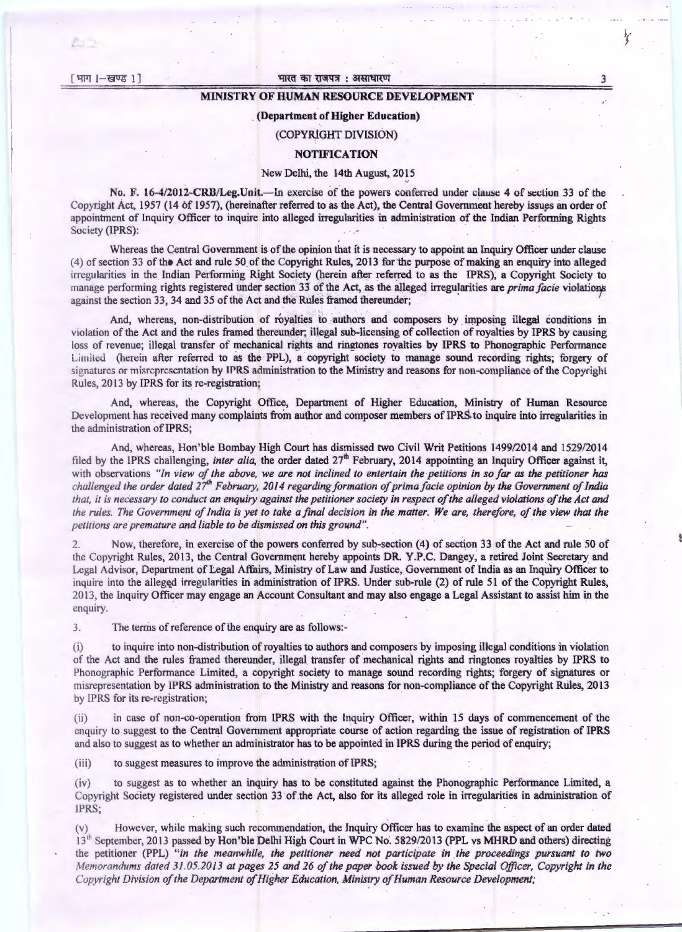$[$  भाग  $]-$ खण्ड 1

#### भारत का राजपत्र : असाधारण

### MINISTRY OF HUMAN RESOURCE DEVELOPMENT

#### . (Department of Higher Education)

# (COPYRlGHT DIVISION)

## **NOTIFICATION**

#### New Delhi, the 14th August, 2015

No. F. 16-4/2012-CRB/Leg.Unit.—In exercise of the powers conferred under clause 4 of section 33 of the Copyright Act, 1957 (14 of 1957), (hereinafter referred to as the Act), the Central Government hereby issues an order of appointment of Inquiry Officer to inquire into alleged irregularities in administration of the Indian Performing Rights Society (IPRS):

Whereas the Central Government is of the opinion that it is necessary to appoint an Inquiry Officer under clause (4) of section 33 of the Act and rule 50 of the Copyright Rules, 2013 for the purpose of making an enquiry into alleged irregularities in the Indian Performing Right Society (herein after referred to as the IPRS), a Copyright Society to manage performing rights registered under section 33 of the Act, as the alleged irregularities are *prima facie* violations against the section 33, 34 and 35 of the Act and the Rules framed thereunder;

And, whereas, non-distribution of royalties to authors and composers by imposing illegal conditions in violation of the Act and the rules framed thereunder; illegal sub-licensing of collection of royalties by IPRS by causing loss of revenue; illegal transfer of mechanical rights and ringtones royalties by IPRS to Phonographic Performance Limited (herein after referred to as the PPL), a copyright-society to manage sound recording rights; forgery of signatures or misrepresentation by IPRS administration to the Ministry and reasons for non-compliance of the Copyright Rules, 2013 by IPRS for its re-registration;

And, whereas, the Copyright Office, Department of Higher Education, Ministry of Human Resource Development has received many complaints from author and composer members of IPRS to inquire into irregularities in the administration of IPRS;

And, whereas, Hon'ble Bombay High Court has dismissed two Civil Writ Petitions 1499/2014 and 1529/2014 filed by the IPRS challenging, *inter alia*, the order dated 27<sup>th</sup> February, 2014 appointing an Inquiry Officer against it, with observations "In view of the above, we are not inclined to entertain the petitions in so far as the petitioner has *challenged the order dated 27<sup>th</sup> February, 2014 regarding formation of prima facie opinion by the Government of India that, it is necessary to conduct an enquiry against the petitioner society in respect of the alleged violations of the Act and* the rules. The Government of India is yet to take a final decision in the matter. We are, therefore, of the view that the *petitions are premature and liable to be dismissed on this ground".* 

2. Now, therefore, in exercise of the powers conferred by sub-section (4) of section 33 of the Act and rule 50 of the Copyright Rules, 2013, the Central Government hereby appoints DR. Y.P.C. Dangey, a retired Joint Secretary and Legal Advisor, Department of Legal Affairs, Ministry of Law and Justice, Government of India as an Inquiry Officer to inquire into the alleged irregularities in administration of IPRS. Under sub-rule (2) of rule 51 of the Copyright Rules, 20 13, the Inquiry Officer may engage an Account Consultant and may also engage a Legal Assistant to assist him in the enquiry.

3. The terms of reference of the enquiry are as follows:-

(i) to inquire into non-distribution of royalties to authors and composers by imposing illegal conditions in violation of the Act and the rules framed thereunder, illegal transfer of mechanical rights and ringtones royalties by IPRS to Phonographic Performance Limited, a copyright society to manage sound recording rights; forgery of signatures or misrepresentation by IPRS administration to the Ministry and reasons for non-compliance of the Copyright Rules, 2013 by IPRS for its re-registration;

in case of non-co-operation from IPRS with the Inquiry Officer, within 15 days of commencement of the enquiry to suggest to the Central Government appropriate course of action regarding the issue of registration of IPRS and also to suggest as to whether an administrator has to be appointed in lPRS during the period of enquiry;

(iii) to suggest measures to improve the administration of IPRS;

(iv) to suggest as to whether an inquiry has to be constituted against the Phonographic Performance Limited, a Copyright Society registered under section 33 of the Act, also for its alleged role in irregularities in administration of 1PRS;

(v) However, while making such recommendation, the Inquiry Officer has to examine the aspect of an order dated  $13<sup>th</sup>$  September, 2013 passed by Hon'ble Delhi High Court in WPC No. 5829/2013 (PPL vs MHRD and others) directing the petitioner (PPL) *" in the meanwhile, the petitioner need not participate in the proceedings pursuant to two Memorandums dated 31.05.2013 at pages 25 and 26 of the paper book issued by the Special Officer, Copyright in the Copyright Division of the Department of Higher Education, Ministry of Human Resource Development;* 

3